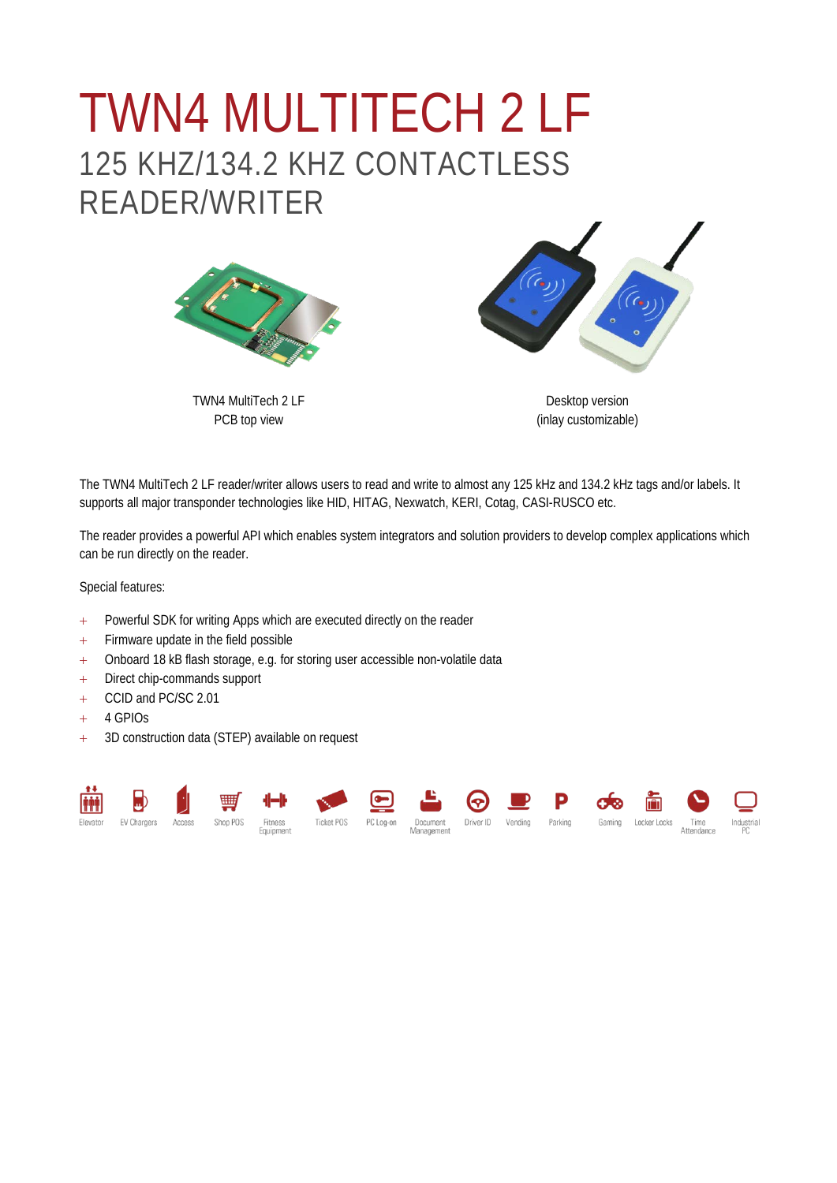## TWN4 MULTITECH 2 LF 125 KHZ/134.2 KHZ CONTACTLESS READER/WRITER



TWN4 MultiTech 2 LF PCB top view



Desktop version (inlay customizable)

The TWN4 MultiTech 2 LF reader/writer allows users to read and write to almost any 125 kHz and 134.2 kHz tags and/or labels. It supports all major transponder technologies like HID, HITAG, Nexwatch, KERI, Cotag, CASI-RUSCO etc.

The reader provides a powerful API which enables system integrators and solution providers to develop complex applications which can be run directly on the reader.

Special features:

- + Powerful SDK for writing Apps which are executed directly on the reader
- + Firmware update in the field possible
- + Onboard 18 kB flash storage, e.g. for storing user accessible non-volatile data
- + Direct chip-commands support
- + CCID and PC/SC 2.01
- $+ 4$  GPIOs
- + 3D construction data (STEP) available on request

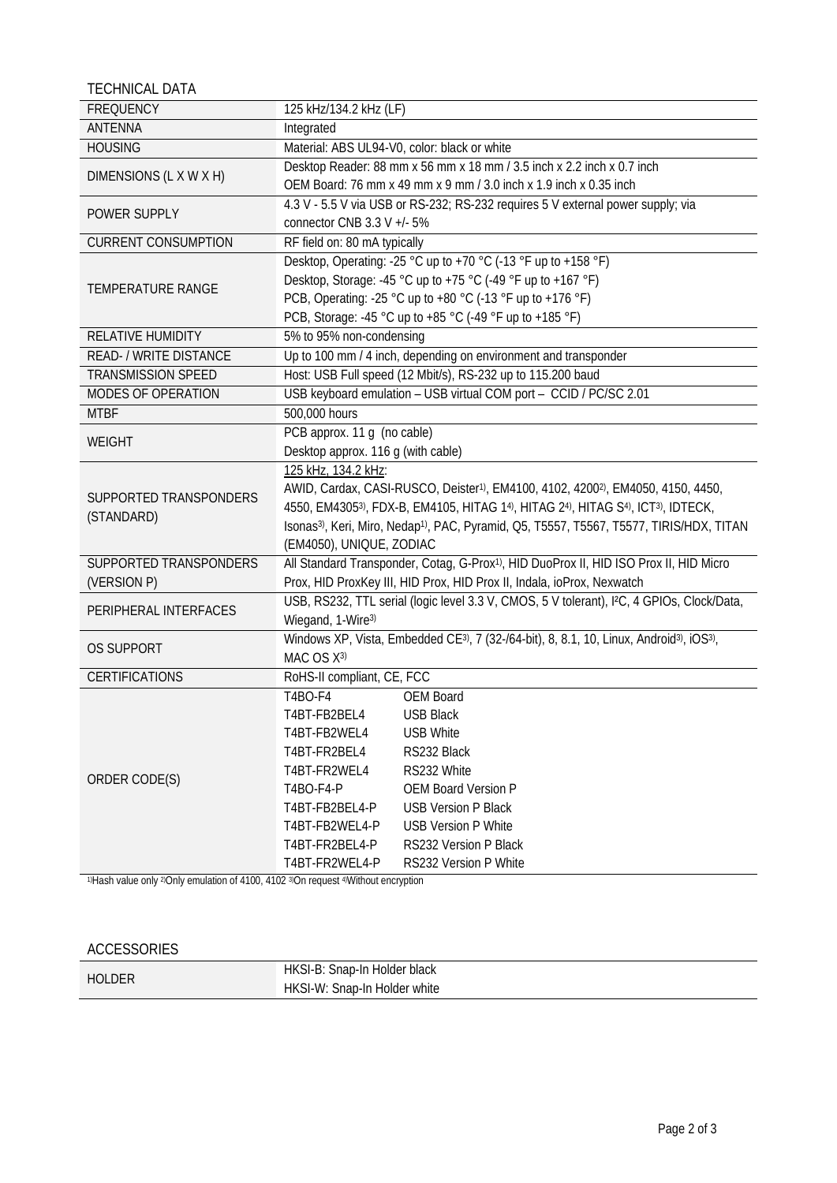TECHNICAL DATA

| <b>FREQUENCY</b>           | 125 kHz/134.2 kHz (LF)                                                                                                        |                                                                                                        |  |
|----------------------------|-------------------------------------------------------------------------------------------------------------------------------|--------------------------------------------------------------------------------------------------------|--|
| <b>ANTENNA</b>             | Integrated                                                                                                                    |                                                                                                        |  |
| <b>HOUSING</b>             |                                                                                                                               | Material: ABS UL94-V0, color: black or white                                                           |  |
| DIMENSIONS (L X W X H)     |                                                                                                                               | Desktop Reader: 88 mm x 56 mm x 18 mm / 3.5 inch x 2.2 inch x 0.7 inch                                 |  |
|                            | OEM Board: 76 mm x 49 mm x 9 mm / 3.0 inch x 1.9 inch x 0.35 inch                                                             |                                                                                                        |  |
| POWER SUPPLY               | 4.3 V - 5.5 V via USB or RS-232; RS-232 requires 5 V external power supply; via                                               |                                                                                                        |  |
|                            | connector CNB 3.3 V +/- 5%                                                                                                    |                                                                                                        |  |
| <b>CURRENT CONSUMPTION</b> | RF field on: 80 mA typically                                                                                                  |                                                                                                        |  |
| <b>TEMPERATURE RANGE</b>   | Desktop, Operating: -25 °C up to +70 °C (-13 °F up to +158 °F)                                                                |                                                                                                        |  |
|                            | Desktop, Storage: -45 °C up to +75 °C (-49 °F up to +167 °F)                                                                  |                                                                                                        |  |
|                            | PCB, Operating: -25 °C up to +80 °C (-13 °F up to +176 °F)                                                                    |                                                                                                        |  |
|                            | PCB, Storage: -45 °C up to +85 °C (-49 °F up to +185 °F)                                                                      |                                                                                                        |  |
| <b>RELATIVE HUMIDITY</b>   | 5% to 95% non-condensing                                                                                                      |                                                                                                        |  |
| READ- / WRITE DISTANCE     | Up to 100 mm / 4 inch, depending on environment and transponder                                                               |                                                                                                        |  |
| TRANSMISSION SPEED         | Host: USB Full speed (12 Mbit/s), RS-232 up to 115.200 baud                                                                   |                                                                                                        |  |
| MODES OF OPERATION         | USB keyboard emulation - USB virtual COM port - CCID / PC/SC 2.01                                                             |                                                                                                        |  |
| <b>MTBF</b>                | 500,000 hours                                                                                                                 |                                                                                                        |  |
| <b>WEIGHT</b>              | PCB approx. 11 g (no cable)                                                                                                   |                                                                                                        |  |
|                            | Desktop approx. 116 g (with cable)                                                                                            |                                                                                                        |  |
|                            | 125 kHz, 134.2 kHz:                                                                                                           |                                                                                                        |  |
| SUPPORTED TRANSPONDERS     | AWID, Cardax, CASI-RUSCO, Deister <sup>1)</sup> , EM4100, 4102, 4200 <sup>2</sup> ), EM4050, 4150, 4450,                      |                                                                                                        |  |
|                            | 4550, EM43053), FDX-B, EM4105, HITAG 14), HITAG 24), HITAG S4), ICT3), IDTECK,                                                |                                                                                                        |  |
| (STANDARD)                 | Isonas <sup>3)</sup> , Keri, Miro, Nedap <sup>1)</sup> , PAC, Pyramid, Q5, T5557, T5567, T5577, TIRIS/HDX, TITAN              |                                                                                                        |  |
|                            | (EM4050), UNIQUE, ZODIAC                                                                                                      |                                                                                                        |  |
| SUPPORTED TRANSPONDERS     |                                                                                                                               | All Standard Transponder, Cotag, G-Prox <sup>1)</sup> , HID DuoProx II, HID ISO Prox II, HID Micro     |  |
| (VERSION P)                |                                                                                                                               | Prox, HID ProxKey III, HID Prox, HID Prox II, Indala, ioProx, Nexwatch                                 |  |
| PERIPHERAL INTERFACES      |                                                                                                                               | USB, RS232, TTL serial (logic level 3.3 V, CMOS, 5 V tolerant), I <sup>2</sup> C, 4 GPIOs, Clock/Data, |  |
|                            | Wiegand, 1-Wire3)                                                                                                             |                                                                                                        |  |
|                            | Windows XP, Vista, Embedded CE <sup>3)</sup> , 7 (32-/64-bit), 8, 8.1, 10, Linux, Android <sup>3)</sup> , iOS <sup>3)</sup> , |                                                                                                        |  |
| <b>OS SUPPORT</b>          | MAC OS X3)                                                                                                                    |                                                                                                        |  |
| <b>CERTIFICATIONS</b>      | RoHS-II compliant, CE, FCC                                                                                                    |                                                                                                        |  |
|                            | T4BO-F4                                                                                                                       | <b>OEM Board</b>                                                                                       |  |
|                            | T4BT-FB2BEL4                                                                                                                  | <b>USB Black</b>                                                                                       |  |
|                            | T4BT-FB2WEL4                                                                                                                  | USB White                                                                                              |  |
|                            | T4BT-FR2BEL4                                                                                                                  | RS232 Black                                                                                            |  |
| ORDER CODE(S)              | T4BT-FR2WEL4                                                                                                                  | RS232 White                                                                                            |  |
|                            | T4BO-F4-P                                                                                                                     | <b>OEM Board Version P</b>                                                                             |  |
|                            | T4BT-FB2BEL4-P                                                                                                                | <b>USB Version P Black</b>                                                                             |  |
|                            | T4BT-FB2WEL4-P                                                                                                                | <b>USB Version P White</b>                                                                             |  |
|                            | T4BT-FR2BEL4-P                                                                                                                | RS232 Version P Black                                                                                  |  |
|                            | T4BT-FR2WEL4-P                                                                                                                | RS232 Version P White                                                                                  |  |

1)Hash value only <sup>2)</sup>Only emulation of 4100, 4102 <sup>3)</sup>On request <sup>4)</sup>Without encryption

## ACCESSORIES

| <b>HOLDER</b> | HKSI-B:<br>: Snap-In Holder black |
|---------------|-----------------------------------|
|               | HKSI-W:<br>: Snap-In Holder white |
|               |                                   |